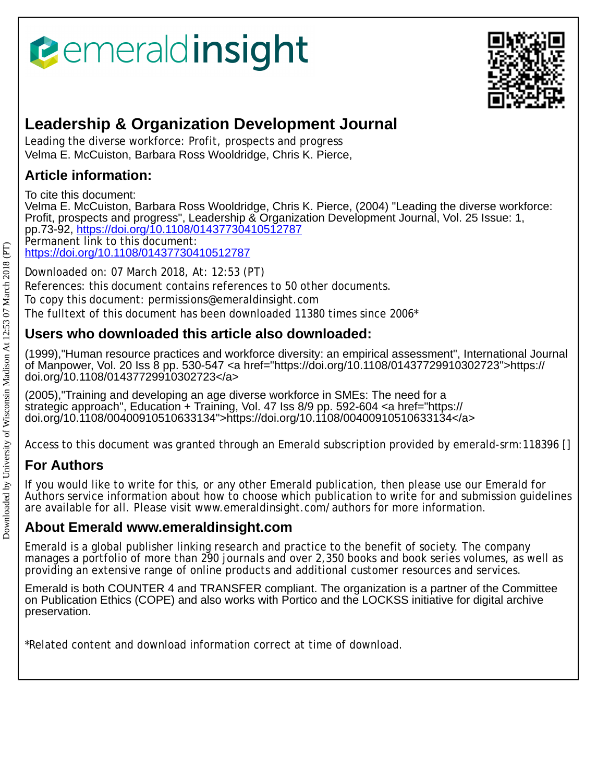# *<u><b>e*emeraldinsight</u>



## **Leadership & Organization Development Journal**

Leading the diverse workforce: Profit, prospects and progress Velma E. McCuiston, Barbara Ross Wooldridge, Chris K. Pierce,

## **Article information:**

To cite this document:

Velma E. McCuiston, Barbara Ross Wooldridge, Chris K. Pierce, (2004) "Leading the diverse workforce: Profit, prospects and progress", Leadership & Organization Development Journal, Vol. 25 Issue: 1, pp.73-92, <https://doi.org/10.1108/01437730410512787> Permanent link to this document: <https://doi.org/10.1108/01437730410512787>

Downloaded on: 07 March 2018, At: 12:53 (PT) References: this document contains references to 50 other documents. To copy this document: permissions@emeraldinsight.com The fulltext of this document has been downloaded 11380 times since 2006\*

## **Users who downloaded this article also downloaded:**

(1999),"Human resource practices and workforce diversity: an empirical assessment", International Journal of Manpower, Vol. 20 Iss 8 pp. 530-547 <a href="https://doi.org/10.1108/01437729910302723">https:// doi.org/10.1108/01437729910302723</a>

(2005),"Training and developing an age diverse workforce in SMEs: The need for a strategic approach", Education + Training, Vol. 47 Iss 8/9 pp. 592-604 <a href="https:// doi.org/10.1108/00400910510633134">https://doi.org/10.1108/00400910510633134</a>

Access to this document was granted through an Emerald subscription provided by emerald-srm:118396 []

## **For Authors**

If you would like to write for this, or any other Emerald publication, then please use our Emerald for Authors service information about how to choose which publication to write for and submission guidelines are available for all. Please visit www.emeraldinsight.com/authors for more information.

## **About Emerald www.emeraldinsight.com**

Emerald is a global publisher linking research and practice to the benefit of society. The company manages a portfolio of more than 290 journals and over 2,350 books and book series volumes, as well as providing an extensive range of online products and additional customer resources and services.

Emerald is both COUNTER 4 and TRANSFER compliant. The organization is a partner of the Committee on Publication Ethics (COPE) and also works with Portico and the LOCKSS initiative for digital archive preservation.

\*Related content and download information correct at time of download.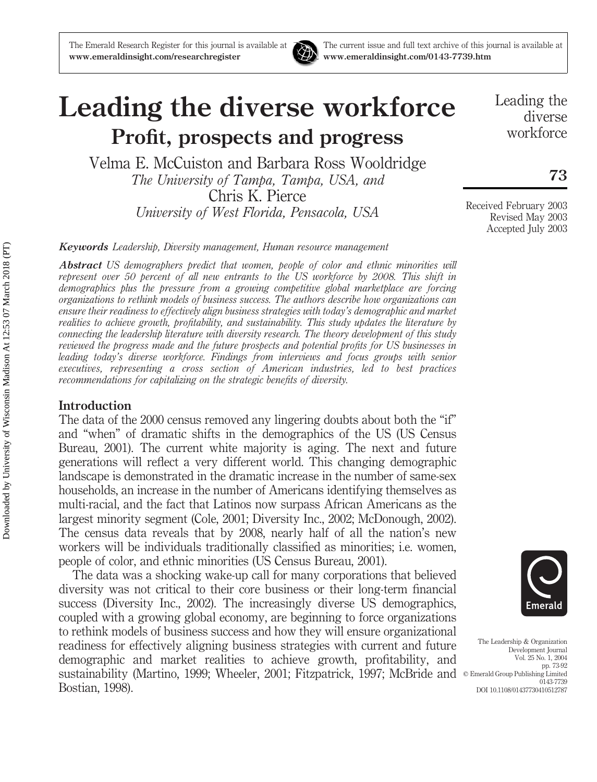www.emeraldinsight.com/researchregister www.emeraldinsight.com/0143-7739.htm



The Emerald Research Register for this journal is available at Way The current issue and full text archive of this journal is available at www.emeraldinsight.com/0143-7739.htm

## Leading the diverse workforce Profit, prospects and progress

Velma E. McCuiston and Barbara Ross Wooldridge The University of Tampa, Tampa, USA, and Chris K. Pierce

University of West Florida, Pensacola, USA

Leading the diverse workforce

73

Received February 2003 Revised May 2003 Accepted July 2003

Keywords Leadership, Diversity management, Human resource management

Abstract US demographers predict that women, people of color and ethnic minorities will represent over 50 percent of all new entrants to the US workforce by 2008. This shift in demographics plus the pressure from a growing competitive global marketplace are forcing organizations to rethink models of business success. The authors describe how organizations can ensure their readiness to effectively align business strategies with today's demographic and market realities to achieve growth, profitability, and sustainability. This study updates the literature by connecting the leadership literature with diversity research. The theory development of this study reviewed the progress made and the future prospects and potential profits for US businesses in leading today's diverse workforce. Findings from interviews and focus groups with senior executives, representing a cross section of American industries, led to best practices recommendations for capitalizing on the strategic benefits of diversity.

#### Introduction

The data of the 2000 census removed any lingering doubts about both the "if" and "when" of dramatic shifts in the demographics of the US (US Census Bureau, 2001). The current white majority is aging. The next and future generations will reflect a very different world. This changing demographic landscape is demonstrated in the dramatic increase in the number of same-sex households, an increase in the number of Americans identifying themselves as multi-racial, and the fact that Latinos now surpass African Americans as the largest minority segment (Cole, 2001; Diversity Inc., 2002; McDonough, 2002). The census data reveals that by 2008, nearly half of all the nation's new workers will be individuals traditionally classified as minorities; i.e. women, people of color, and ethnic minorities (US Census Bureau, 2001).

The data was a shocking wake-up call for many corporations that believed diversity was not critical to their core business or their long-term financial success (Diversity Inc., 2002). The increasingly diverse US demographics, coupled with a growing global economy, are beginning to force organizations to rethink models of business success and how they will ensure organizational readiness for effectively aligning business strategies with current and future demographic and market realities to achieve growth, profitability, and Sustainability (Martino, 1999; Wheeler, 2001; Fitzpatrick, 1997; McBride and © Emerald Group Publishing Limited Bostian, 1998).



The Leadership & Organization Development Journal Vol. 25 No. 1, 2004 pp. 73-92 0143-7739 DOI 10.1108/01437730410512787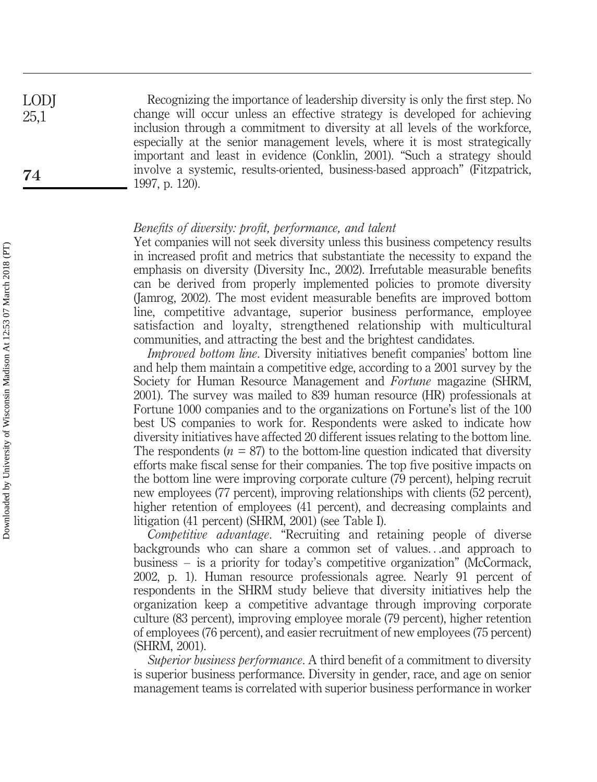Recognizing the importance of leadership diversity is only the first step. No change will occur unless an effective strategy is developed for achieving inclusion through a commitment to diversity at all levels of the workforce, especially at the senior management levels, where it is most strategically important and least in evidence (Conklin, 2001). "Such a strategy should involve a systemic, results-oriented, business-based approach" (Fitzpatrick, 1997, p. 120).

#### Benefits of diversity: profit, performance, and talent

Yet companies will not seek diversity unless this business competency results in increased profit and metrics that substantiate the necessity to expand the emphasis on diversity (Diversity Inc., 2002). Irrefutable measurable benefits can be derived from properly implemented policies to promote diversity (Jamrog, 2002). The most evident measurable benefits are improved bottom line, competitive advantage, superior business performance, employee satisfaction and loyalty, strengthened relationship with multicultural communities, and attracting the best and the brightest candidates.

Improved bottom line. Diversity initiatives benefit companies' bottom line and help them maintain a competitive edge, according to a 2001 survey by the Society for Human Resource Management and Fortune magazine (SHRM, 2001). The survey was mailed to 839 human resource (HR) professionals at Fortune 1000 companies and to the organizations on Fortune's list of the 100 best US companies to work for. Respondents were asked to indicate how diversity initiatives have affected 20 different issues relating to the bottom line. The respondents ( $n = 87$ ) to the bottom-line question indicated that diversity efforts make fiscal sense for their companies. The top five positive impacts on the bottom line were improving corporate culture (79 percent), helping recruit new employees (77 percent), improving relationships with clients (52 percent), higher retention of employees (41 percent), and decreasing complaints and litigation (41 percent) (SHRM, 2001) (see Table I).

Competitive advantage. "Recruiting and retaining people of diverse backgrounds who can share a common set of values...and approach to business – is a priority for today's competitive organization" (McCormack, 2002, p. 1). Human resource professionals agree. Nearly 91 percent of respondents in the SHRM study believe that diversity initiatives help the organization keep a competitive advantage through improving corporate culture (83 percent), improving employee morale (79 percent), higher retention of employees (76 percent), and easier recruitment of new employees (75 percent) (SHRM, 2001).

Superior business performance. A third benefit of a commitment to diversity is superior business performance. Diversity in gender, race, and age on senior management teams is correlated with superior business performance in worker

LODJ 25,1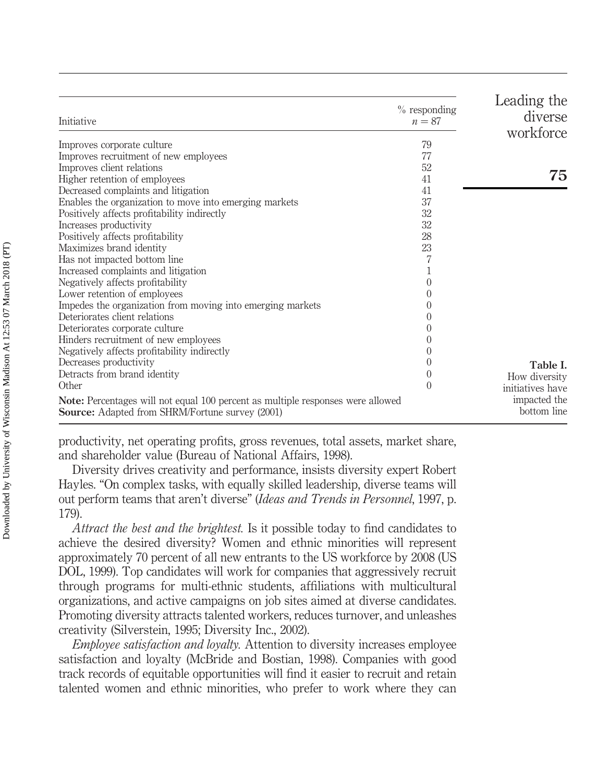| Initiative                                                                                                                                | $%$ responding<br>$n = 87$ | Leading the<br>diverse      |
|-------------------------------------------------------------------------------------------------------------------------------------------|----------------------------|-----------------------------|
| Improves corporate culture                                                                                                                | 79                         | workforce                   |
| Improves recruitment of new employees                                                                                                     | 77                         |                             |
| Improves client relations                                                                                                                 | 52                         |                             |
| Higher retention of employees                                                                                                             | 41                         | 75                          |
| Decreased complaints and litigation                                                                                                       | 41                         |                             |
| Enables the organization to move into emerging markets                                                                                    | 37                         |                             |
| Positively affects profitability indirectly                                                                                               | 32                         |                             |
| Increases productivity                                                                                                                    | 32                         |                             |
| Positively affects profitability                                                                                                          | 28                         |                             |
| Maximizes brand identity                                                                                                                  | 23                         |                             |
| Has not impacted bottom line                                                                                                              |                            |                             |
| Increased complaints and litigation                                                                                                       |                            |                             |
| Negatively affects profitability                                                                                                          | $\overline{0}$             |                             |
| Lower retention of employees                                                                                                              | $\theta$                   |                             |
| Impedes the organization from moving into emerging markets                                                                                | $\overline{0}$             |                             |
| Deteriorates client relations                                                                                                             | $\theta$                   |                             |
| Deteriorates corporate culture                                                                                                            | $\mathbf{0}$               |                             |
| Hinders recruitment of new employees                                                                                                      | $\overline{0}$             |                             |
| Negatively affects profitability indirectly                                                                                               | $\theta$                   |                             |
| Decreases productivity                                                                                                                    | $\theta$                   | Table I.                    |
| Detracts from brand identity                                                                                                              | $\mathbf{0}$               | How diversity               |
| Other                                                                                                                                     | $\theta$                   | initiatives have            |
| Note: Percentages will not equal 100 percent as multiple responses were allowed<br><b>Source:</b> Adapted from SHRM/Fortune survey (2001) |                            | impacted the<br>bottom line |

productivity, net operating profits, gross revenues, total assets, market share, and shareholder value (Bureau of National Affairs, 1998).

Diversity drives creativity and performance, insists diversity expert Robert Hayles. "On complex tasks, with equally skilled leadership, diverse teams will out perform teams that aren't diverse" (Ideas and Trends in Personnel, 1997, p. 179).

Attract the best and the brightest. Is it possible today to find candidates to achieve the desired diversity? Women and ethnic minorities will represent approximately 70 percent of all new entrants to the US workforce by 2008 (US DOL, 1999). Top candidates will work for companies that aggressively recruit through programs for multi-ethnic students, affiliations with multicultural organizations, and active campaigns on job sites aimed at diverse candidates. Promoting diversity attracts talented workers, reduces turnover, and unleashes creativity (Silverstein, 1995; Diversity Inc., 2002).

Employee satisfaction and loyalty. Attention to diversity increases employee satisfaction and loyalty (McBride and Bostian, 1998). Companies with good track records of equitable opportunities will find it easier to recruit and retain talented women and ethnic minorities, who prefer to work where they can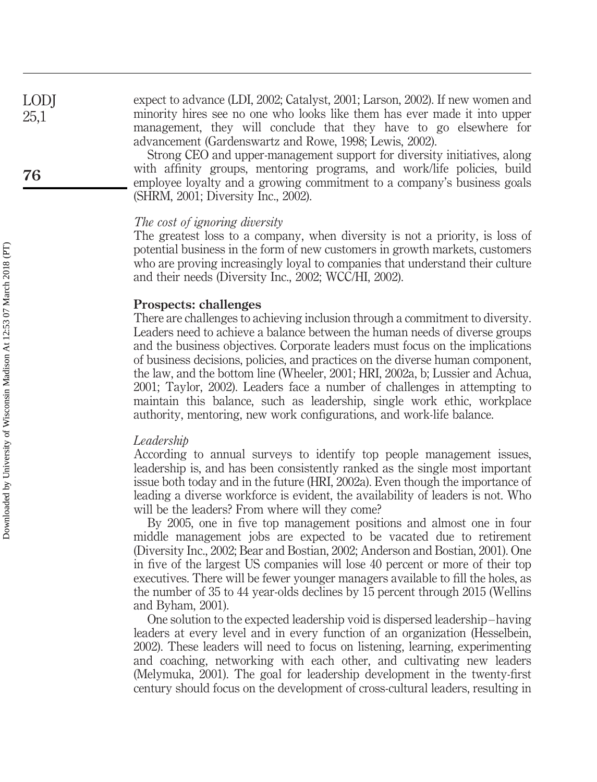expect to advance (LDI, 2002; Catalyst, 2001; Larson, 2002). If new women and minority hires see no one who looks like them has ever made it into upper management, they will conclude that they have to go elsewhere for advancement (Gardenswartz and Rowe, 1998; Lewis, 2002).

Strong CEO and upper-management support for diversity initiatives, along with affinity groups, mentoring programs, and work/life policies, build employee loyalty and a growing commitment to a company's business goals (SHRM, 2001; Diversity Inc., 2002).

#### The cost of ignoring diversity

The greatest loss to a company, when diversity is not a priority, is loss of potential business in the form of new customers in growth markets, customers who are proving increasingly loyal to companies that understand their culture and their needs (Diversity Inc., 2002; WCC/HI, 2002).

#### Prospects: challenges

There are challenges to achieving inclusion through a commitment to diversity. Leaders need to achieve a balance between the human needs of diverse groups and the business objectives. Corporate leaders must focus on the implications of business decisions, policies, and practices on the diverse human component, the law, and the bottom line (Wheeler, 2001; HRI, 2002a, b; Lussier and Achua, 2001; Taylor, 2002). Leaders face a number of challenges in attempting to maintain this balance, such as leadership, single work ethic, workplace authority, mentoring, new work configurations, and work-life balance.

#### Leadership

According to annual surveys to identify top people management issues, leadership is, and has been consistently ranked as the single most important issue both today and in the future (HRI, 2002a). Even though the importance of leading a diverse workforce is evident, the availability of leaders is not. Who will be the leaders? From where will they come?

By 2005, one in five top management positions and almost one in four middle management jobs are expected to be vacated due to retirement (Diversity Inc., 2002; Bear and Bostian, 2002; Anderson and Bostian, 2001). One in five of the largest US companies will lose 40 percent or more of their top executives. There will be fewer younger managers available to fill the holes, as the number of 35 to 44 year-olds declines by 15 percent through 2015 (Wellins and Byham, 2001).

One solution to the expected leadership void is dispersed leadership–having leaders at every level and in every function of an organization (Hesselbein, 2002). These leaders will need to focus on listening, learning, experimenting and coaching, networking with each other, and cultivating new leaders (Melymuka, 2001). The goal for leadership development in the twenty-first century should focus on the development of cross-cultural leaders, resulting in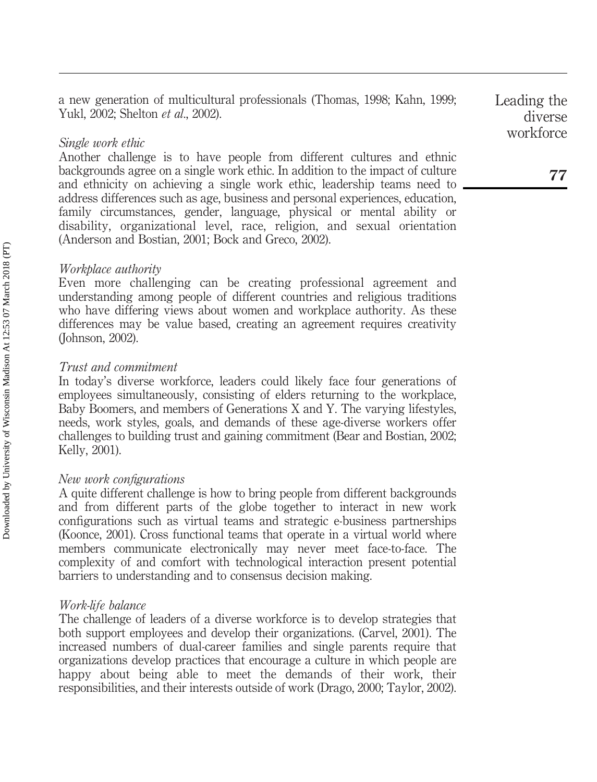a new generation of multicultural professionals (Thomas, 1998; Kahn, 1999; Yukl, 2002; Shelton *et al.*, 2002).

#### Single work ethic

Another challenge is to have people from different cultures and ethnic backgrounds agree on a single work ethic. In addition to the impact of culture and ethnicity on achieving a single work ethic, leadership teams need to address differences such as age, business and personal experiences, education, family circumstances, gender, language, physical or mental ability or disability, organizational level, race, religion, and sexual orientation (Anderson and Bostian, 2001; Bock and Greco, 2002).

#### Workplace authority

Even more challenging can be creating professional agreement and understanding among people of different countries and religious traditions who have differing views about women and workplace authority. As these differences may be value based, creating an agreement requires creativity (Johnson, 2002).

#### Trust and commitment

In today's diverse workforce, leaders could likely face four generations of employees simultaneously, consisting of elders returning to the workplace, Baby Boomers, and members of Generations X and Y. The varying lifestyles, needs, work styles, goals, and demands of these age-diverse workers offer challenges to building trust and gaining commitment (Bear and Bostian, 2002; Kelly, 2001).

#### New work configurations

A quite different challenge is how to bring people from different backgrounds and from different parts of the globe together to interact in new work configurations such as virtual teams and strategic e-business partnerships (Koonce, 2001). Cross functional teams that operate in a virtual world where members communicate electronically may never meet face-to-face. The complexity of and comfort with technological interaction present potential barriers to understanding and to consensus decision making.

#### Work-life balance

The challenge of leaders of a diverse workforce is to develop strategies that both support employees and develop their organizations. (Carvel, 2001). The increased numbers of dual-career families and single parents require that organizations develop practices that encourage a culture in which people are happy about being able to meet the demands of their work, their responsibilities, and their interests outside of work (Drago, 2000; Taylor, 2002).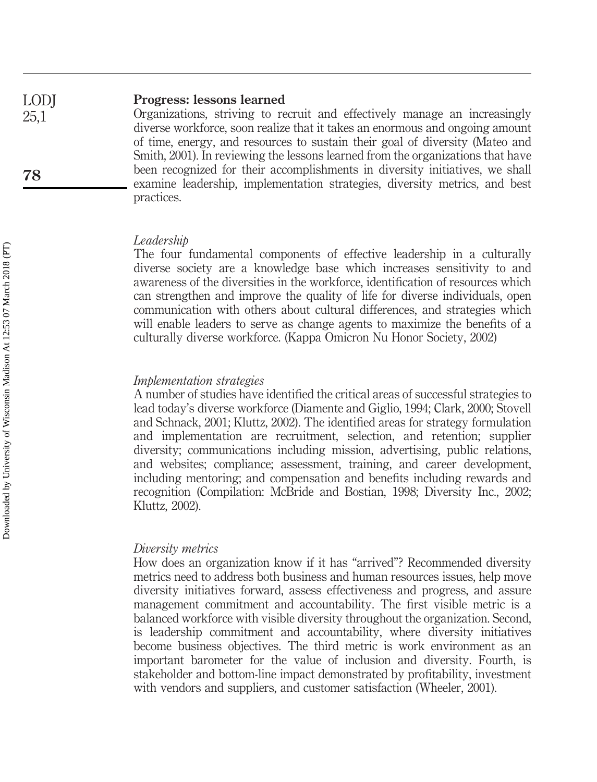#### Progress: lessons learned LODJ

Organizations, striving to recruit and effectively manage an increasingly diverse workforce, soon realize that it takes an enormous and ongoing amount of time, energy, and resources to sustain their goal of diversity (Mateo and Smith, 2001). In reviewing the lessons learned from the organizations that have been recognized for their accomplishments in diversity initiatives, we shall examine leadership, implementation strategies, diversity metrics, and best practices.

#### Leadership

The four fundamental components of effective leadership in a culturally diverse society are a knowledge base which increases sensitivity to and awareness of the diversities in the workforce, identification of resources which can strengthen and improve the quality of life for diverse individuals, open communication with others about cultural differences, and strategies which will enable leaders to serve as change agents to maximize the benefits of a culturally diverse workforce. (Kappa Omicron Nu Honor Society, 2002)

#### Implementation strategies

A number of studies have identified the critical areas of successful strategies to lead today's diverse workforce (Diamente and Giglio, 1994; Clark, 2000; Stovell and Schnack, 2001; Kluttz, 2002). The identified areas for strategy formulation and implementation are recruitment, selection, and retention; supplier diversity; communications including mission, advertising, public relations, and websites; compliance; assessment, training, and career development, including mentoring; and compensation and benefits including rewards and recognition (Compilation: McBride and Bostian, 1998; Diversity Inc., 2002; Kluttz, 2002).

#### Diversity metrics

How does an organization know if it has "arrived"? Recommended diversity metrics need to address both business and human resources issues, help move diversity initiatives forward, assess effectiveness and progress, and assure management commitment and accountability. The first visible metric is a balanced workforce with visible diversity throughout the organization. Second, is leadership commitment and accountability, where diversity initiatives become business objectives. The third metric is work environment as an important barometer for the value of inclusion and diversity. Fourth, is stakeholder and bottom-line impact demonstrated by profitability, investment with vendors and suppliers, and customer satisfaction (Wheeler, 2001).

25,1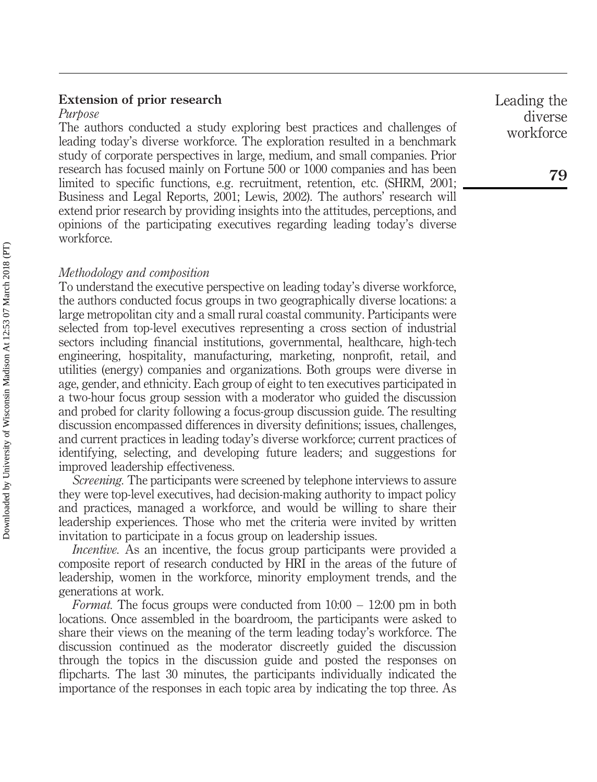#### Extension of prior research

#### Purpose

The authors conducted a study exploring best practices and challenges of leading today's diverse workforce. The exploration resulted in a benchmark study of corporate perspectives in large, medium, and small companies. Prior research has focused mainly on Fortune 500 or 1000 companies and has been limited to specific functions, e.g. recruitment, retention, etc. (SHRM, 2001; Business and Legal Reports, 2001; Lewis, 2002). The authors' research will extend prior research by providing insights into the attitudes, perceptions, and opinions of the participating executives regarding leading today's diverse workforce.

### Methodology and composition

To understand the executive perspective on leading today's diverse workforce, the authors conducted focus groups in two geographically diverse locations: a large metropolitan city and a small rural coastal community. Participants were selected from top-level executives representing a cross section of industrial sectors including financial institutions, governmental, healthcare, high-tech engineering, hospitality, manufacturing, marketing, nonprofit, retail, and utilities (energy) companies and organizations. Both groups were diverse in age, gender, and ethnicity. Each group of eight to ten executives participated in a two-hour focus group session with a moderator who guided the discussion and probed for clarity following a focus-group discussion guide. The resulting discussion encompassed differences in diversity definitions; issues, challenges, and current practices in leading today's diverse workforce; current practices of identifying, selecting, and developing future leaders; and suggestions for improved leadership effectiveness.

*Screening*. The participants were screened by telephone interviews to assure they were top-level executives, had decision-making authority to impact policy and practices, managed a workforce, and would be willing to share their leadership experiences. Those who met the criteria were invited by written invitation to participate in a focus group on leadership issues.

Incentive. As an incentive, the focus group participants were provided a composite report of research conducted by HRI in the areas of the future of leadership, women in the workforce, minority employment trends, and the generations at work.

Format. The focus groups were conducted from  $10:00 - 12:00$  pm in both locations. Once assembled in the boardroom, the participants were asked to share their views on the meaning of the term leading today's workforce. The discussion continued as the moderator discreetly guided the discussion through the topics in the discussion guide and posted the responses on flipcharts. The last 30 minutes, the participants individually indicated the importance of the responses in each topic area by indicating the top three. As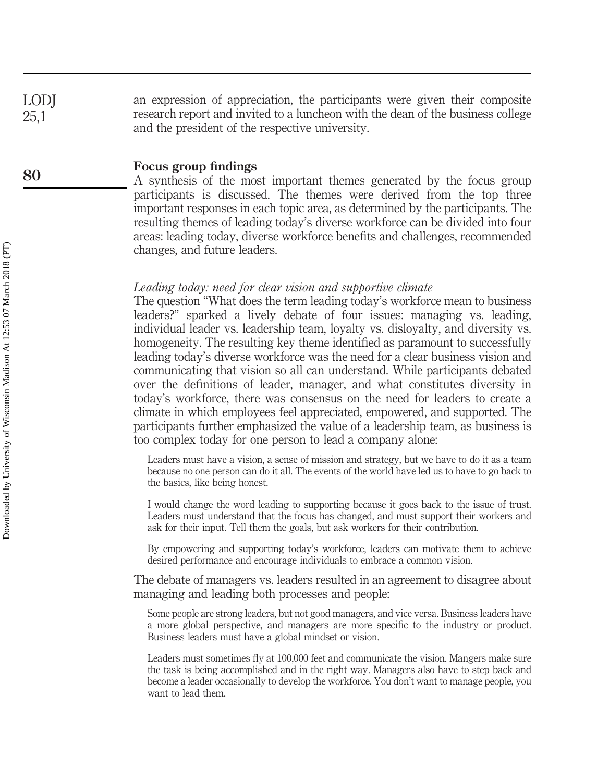an expression of appreciation, the participants were given their composite research report and invited to a luncheon with the dean of the business college and the president of the respective university.

#### Focus group findings

A synthesis of the most important themes generated by the focus group participants is discussed. The themes were derived from the top three important responses in each topic area, as determined by the participants. The resulting themes of leading today's diverse workforce can be divided into four areas: leading today, diverse workforce benefits and challenges, recommended changes, and future leaders.

#### Leading today: need for clear vision and supportive climate

The question "What does the term leading today's workforce mean to business leaders?" sparked a lively debate of four issues: managing vs. leading, individual leader vs. leadership team, loyalty vs. disloyalty, and diversity vs. homogeneity. The resulting key theme identified as paramount to successfully leading today's diverse workforce was the need for a clear business vision and communicating that vision so all can understand. While participants debated over the definitions of leader, manager, and what constitutes diversity in today's workforce, there was consensus on the need for leaders to create a climate in which employees feel appreciated, empowered, and supported. The participants further emphasized the value of a leadership team, as business is too complex today for one person to lead a company alone:

Leaders must have a vision, a sense of mission and strategy, but we have to do it as a team because no one person can do it all. The events of the world have led us to have to go back to the basics, like being honest.

I would change the word leading to supporting because it goes back to the issue of trust. Leaders must understand that the focus has changed, and must support their workers and ask for their input. Tell them the goals, but ask workers for their contribution.

By empowering and supporting today's workforce, leaders can motivate them to achieve desired performance and encourage individuals to embrace a common vision.

The debate of managers vs. leaders resulted in an agreement to disagree about managing and leading both processes and people:

Some people are strong leaders, but not good managers, and vice versa. Business leaders have a more global perspective, and managers are more specific to the industry or product. Business leaders must have a global mindset or vision.

Leaders must sometimes fly at 100,000 feet and communicate the vision. Mangers make sure the task is being accomplished and in the right way. Managers also have to step back and become a leader occasionally to develop the workforce. You don't want to manage people, you want to lead them.

LODJ 25,1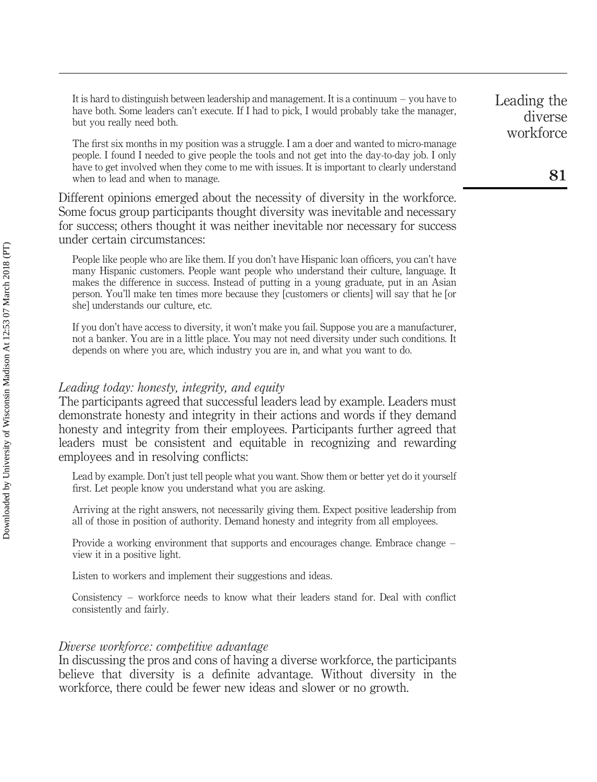It is hard to distinguish between leadership and management. It is a continuum – you have to have both. Some leaders can't execute. If I had to pick, I would probably take the manager, but you really need both.

The first six months in my position was a struggle. I am a doer and wanted to micro-manage people. I found I needed to give people the tools and not get into the day-to-day job. I only have to get involved when they come to me with issues. It is important to clearly understand when to lead and when to manage.

Different opinions emerged about the necessity of diversity in the workforce. Some focus group participants thought diversity was inevitable and necessary for success; others thought it was neither inevitable nor necessary for success under certain circumstances:

People like people who are like them. If you don't have Hispanic loan officers, you can't have many Hispanic customers. People want people who understand their culture, language. It makes the difference in success. Instead of putting in a young graduate, put in an Asian person. You'll make ten times more because they [customers or clients] will say that he [or she] understands our culture, etc.

If you don't have access to diversity, it won't make you fail. Suppose you are a manufacturer, not a banker. You are in a little place. You may not need diversity under such conditions. It depends on where you are, which industry you are in, and what you want to do.

#### Leading today: honesty, integrity, and equity

The participants agreed that successful leaders lead by example. Leaders must demonstrate honesty and integrity in their actions and words if they demand honesty and integrity from their employees. Participants further agreed that leaders must be consistent and equitable in recognizing and rewarding employees and in resolving conflicts:

Lead by example. Don't just tell people what you want. Show them or better yet do it yourself first. Let people know you understand what you are asking.

Arriving at the right answers, not necessarily giving them. Expect positive leadership from all of those in position of authority. Demand honesty and integrity from all employees.

Provide a working environment that supports and encourages change. Embrace change – view it in a positive light.

Listen to workers and implement their suggestions and ideas.

Consistency – workforce needs to know what their leaders stand for. Deal with conflict consistently and fairly.

#### Diverse workforce: competitive advantage

In discussing the pros and cons of having a diverse workforce, the participants believe that diversity is a definite advantage. Without diversity in the workforce, there could be fewer new ideas and slower or no growth.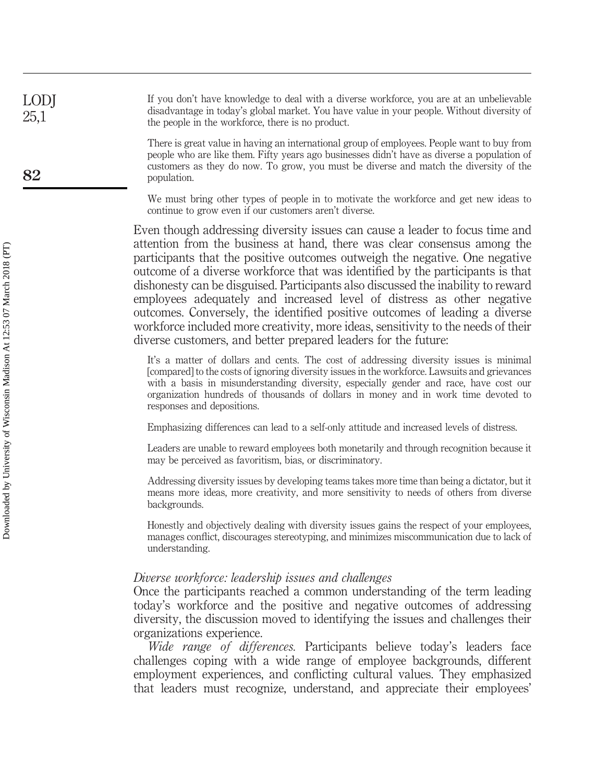If you don't have knowledge to deal with a diverse workforce, you are at an unbelievable disadvantage in today's global market. You have value in your people. Without diversity of the people in the workforce, there is no product.

There is great value in having an international group of employees. People want to buy from people who are like them. Fifty years ago businesses didn't have as diverse a population of customers as they do now. To grow, you must be diverse and match the diversity of the population.

We must bring other types of people in to motivate the workforce and get new ideas to continue to grow even if our customers aren't diverse.

Even though addressing diversity issues can cause a leader to focus time and attention from the business at hand, there was clear consensus among the participants that the positive outcomes outweigh the negative. One negative outcome of a diverse workforce that was identified by the participants is that dishonesty can be disguised. Participants also discussed the inability to reward employees adequately and increased level of distress as other negative outcomes. Conversely, the identified positive outcomes of leading a diverse workforce included more creativity, more ideas, sensitivity to the needs of their diverse customers, and better prepared leaders for the future:

It's a matter of dollars and cents. The cost of addressing diversity issues is minimal [compared] to the costs of ignoring diversity issues in the workforce. Lawsuits and grievances with a basis in misunderstanding diversity, especially gender and race, have cost our organization hundreds of thousands of dollars in money and in work time devoted to responses and depositions.

Emphasizing differences can lead to a self-only attitude and increased levels of distress.

Leaders are unable to reward employees both monetarily and through recognition because it may be perceived as favoritism, bias, or discriminatory.

Addressing diversity issues by developing teams takes more time than being a dictator, but it means more ideas, more creativity, and more sensitivity to needs of others from diverse backgrounds.

Honestly and objectively dealing with diversity issues gains the respect of your employees, manages conflict, discourages stereotyping, and minimizes miscommunication due to lack of understanding.

#### Diverse workforce: leadership issues and challenges

Once the participants reached a common understanding of the term leading today's workforce and the positive and negative outcomes of addressing diversity, the discussion moved to identifying the issues and challenges their organizations experience.

Wide range of differences. Participants believe today's leaders face challenges coping with a wide range of employee backgrounds, different employment experiences, and conflicting cultural values. They emphasized that leaders must recognize, understand, and appreciate their employees'

LODJ 25,1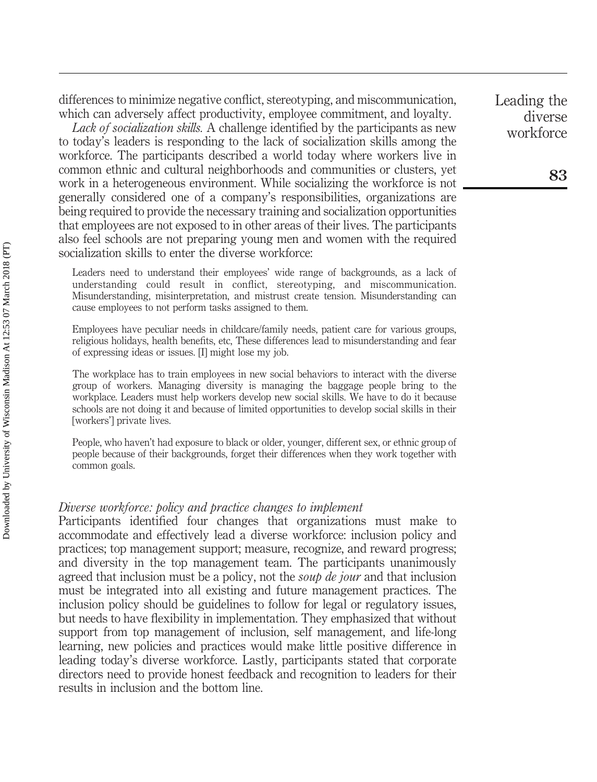differences to minimize negative conflict, stereotyping, and miscommunication, which can adversely affect productivity, employee commitment, and loyalty.

Lack of socialization skills. A challenge identified by the participants as new to today's leaders is responding to the lack of socialization skills among the workforce. The participants described a world today where workers live in common ethnic and cultural neighborhoods and communities or clusters, yet work in a heterogeneous environment. While socializing the workforce is not generally considered one of a company's responsibilities, organizations are being required to provide the necessary training and socialization opportunities that employees are not exposed to in other areas of their lives. The participants also feel schools are not preparing young men and women with the required socialization skills to enter the diverse workforce:

Leaders need to understand their employees' wide range of backgrounds, as a lack of understanding could result in conflict, stereotyping, and miscommunication. Misunderstanding, misinterpretation, and mistrust create tension. Misunderstanding can cause employees to not perform tasks assigned to them.

Employees have peculiar needs in childcare/family needs, patient care for various groups, religious holidays, health benefits, etc, These differences lead to misunderstanding and fear of expressing ideas or issues. [I] might lose my job.

The workplace has to train employees in new social behaviors to interact with the diverse group of workers. Managing diversity is managing the baggage people bring to the workplace. Leaders must help workers develop new social skills. We have to do it because schools are not doing it and because of limited opportunities to develop social skills in their [workers'] private lives.

People, who haven't had exposure to black or older, younger, different sex, or ethnic group of people because of their backgrounds, forget their differences when they work together with common goals.

#### Diverse workforce: policy and practice changes to implement

Participants identified four changes that organizations must make to accommodate and effectively lead a diverse workforce: inclusion policy and practices; top management support; measure, recognize, and reward progress; and diversity in the top management team. The participants unanimously agreed that inclusion must be a policy, not the *soup de jour* and that inclusion must be integrated into all existing and future management practices. The inclusion policy should be guidelines to follow for legal or regulatory issues, but needs to have flexibility in implementation. They emphasized that without support from top management of inclusion, self management, and life-long learning, new policies and practices would make little positive difference in leading today's diverse workforce. Lastly, participants stated that corporate directors need to provide honest feedback and recognition to leaders for their results in inclusion and the bottom line.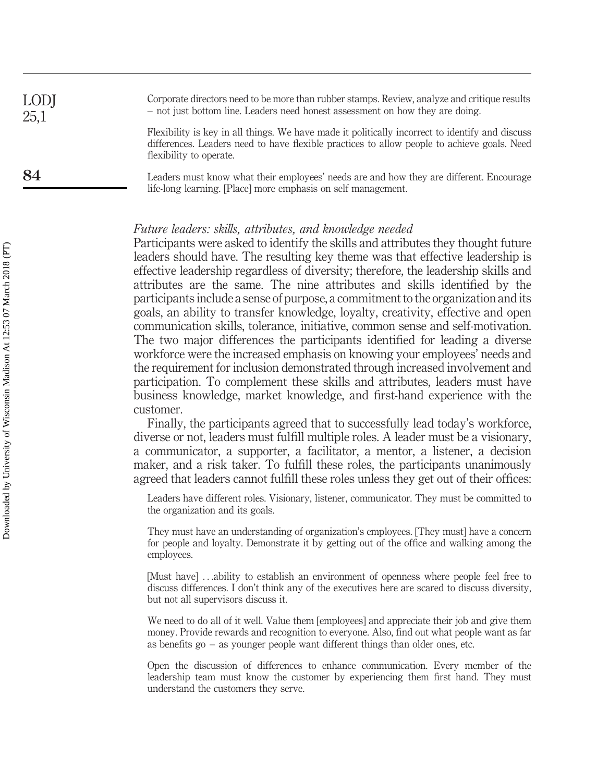| LODJ<br>25,1 | Corporate directors need to be more than rubber stamps. Review, analyze and critique results<br>- not just bottom line. Leaders need honest assessment on how they are doing.                                             |
|--------------|---------------------------------------------------------------------------------------------------------------------------------------------------------------------------------------------------------------------------|
|              | Flexibility is key in all things. We have made it politically incorrect to identify and discuss<br>differences. Leaders need to have flexible practices to allow people to achieve goals. Need<br>flexibility to operate. |
| 84           | Leaders must know what their employees' needs are and how they are different. Encourage<br>life-long learning. [Place] more emphasis on self management.                                                                  |

#### Future leaders: skills, attributes, and knowledge needed

Participants were asked to identify the skills and attributes they thought future leaders should have. The resulting key theme was that effective leadership is effective leadership regardless of diversity; therefore, the leadership skills and attributes are the same. The nine attributes and skills identified by the participants include a sense of purpose, a commitment to the organization and its goals, an ability to transfer knowledge, loyalty, creativity, effective and open communication skills, tolerance, initiative, common sense and self-motivation. The two major differences the participants identified for leading a diverse workforce were the increased emphasis on knowing your employees' needs and the requirement for inclusion demonstrated through increased involvement and participation. To complement these skills and attributes, leaders must have business knowledge, market knowledge, and first-hand experience with the customer.

Finally, the participants agreed that to successfully lead today's workforce, diverse or not, leaders must fulfill multiple roles. A leader must be a visionary, a communicator, a supporter, a facilitator, a mentor, a listener, a decision maker, and a risk taker. To fulfill these roles, the participants unanimously agreed that leaders cannot fulfill these roles unless they get out of their offices:

Leaders have different roles. Visionary, listener, communicator. They must be committed to the organization and its goals.

They must have an understanding of organization's employees. [They must] have a concern for people and loyalty. Demonstrate it by getting out of the office and walking among the employees.

[Must have] ...ability to establish an environment of openness where people feel free to discuss differences. I don't think any of the executives here are scared to discuss diversity, but not all supervisors discuss it.

We need to do all of it well. Value them [employees] and appreciate their job and give them money. Provide rewards and recognition to everyone. Also, find out what people want as far as benefits go – as younger people want different things than older ones, etc.

Open the discussion of differences to enhance communication. Every member of the leadership team must know the customer by experiencing them first hand. They must understand the customers they serve.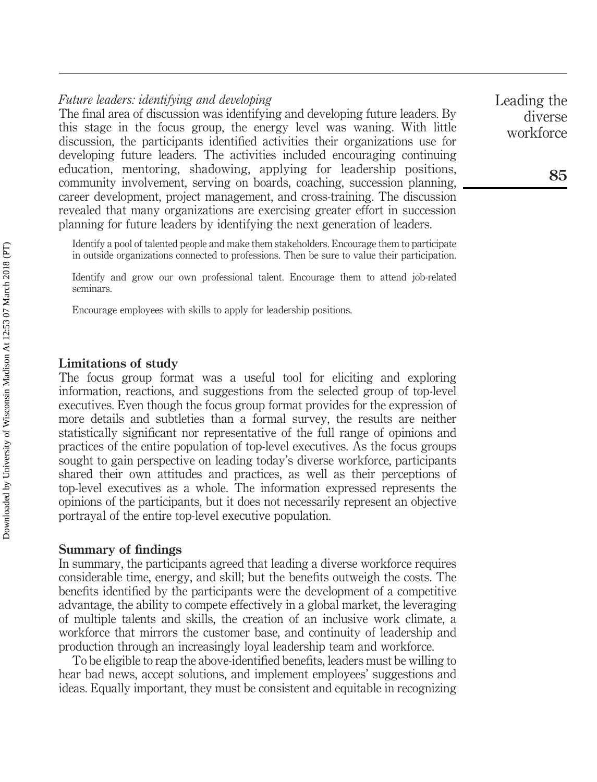### Future leaders: identifying and developing

The final area of discussion was identifying and developing future leaders. By this stage in the focus group, the energy level was waning. With little discussion, the participants identified activities their organizations use for developing future leaders. The activities included encouraging continuing education, mentoring, shadowing, applying for leadership positions, community involvement, serving on boards, coaching, succession planning, career development, project management, and cross-training. The discussion revealed that many organizations are exercising greater effort in succession planning for future leaders by identifying the next generation of leaders.

Identify a pool of talented people and make them stakeholders. Encourage them to participate in outside organizations connected to professions. Then be sure to value their participation.

Identify and grow our own professional talent. Encourage them to attend job-related seminars.

Encourage employees with skills to apply for leadership positions.

#### Limitations of study

The focus group format was a useful tool for eliciting and exploring information, reactions, and suggestions from the selected group of top-level executives. Even though the focus group format provides for the expression of more details and subtleties than a formal survey, the results are neither statistically significant nor representative of the full range of opinions and practices of the entire population of top-level executives. As the focus groups sought to gain perspective on leading today's diverse workforce, participants shared their own attitudes and practices, as well as their perceptions of top-level executives as a whole. The information expressed represents the opinions of the participants, but it does not necessarily represent an objective portrayal of the entire top-level executive population.

#### Summary of findings

In summary, the participants agreed that leading a diverse workforce requires considerable time, energy, and skill; but the benefits outweigh the costs. The benefits identified by the participants were the development of a competitive advantage, the ability to compete effectively in a global market, the leveraging of multiple talents and skills, the creation of an inclusive work climate, a workforce that mirrors the customer base, and continuity of leadership and production through an increasingly loyal leadership team and workforce.

To be eligible to reap the above-identified benefits, leaders must be willing to hear bad news, accept solutions, and implement employees' suggestions and ideas. Equally important, they must be consistent and equitable in recognizing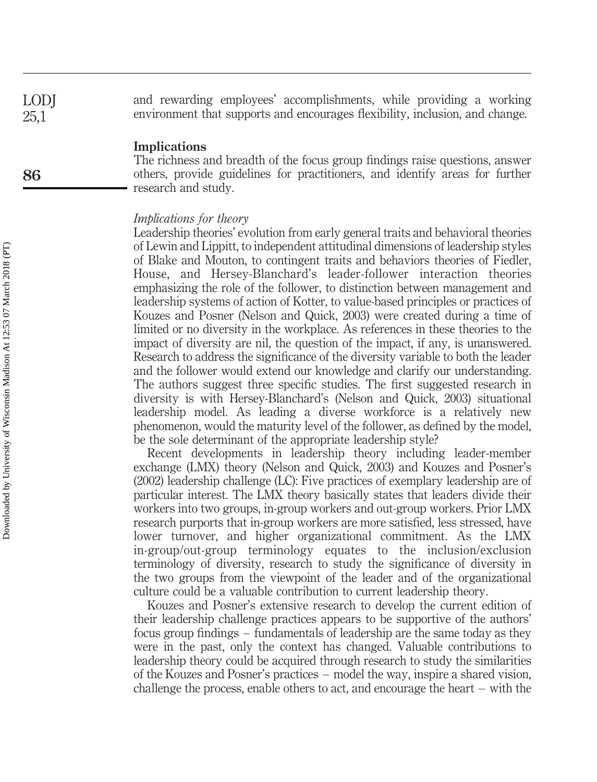and rewarding employees' accomplishments, while providing a working environment that supports and encourages flexibility, inclusion, and change.

#### Implications

The richness and breadth of the focus group findings raise questions, answer others, provide guidelines for practitioners, and identify areas for further research and study.

#### Implications for theory

Leadership theories' evolution from early general traits and behavioral theories of Lewin and Lippitt, to independent attitudinal dimensions of leadership styles of Blake and Mouton, to contingent traits and behaviors theories of Fiedler, House, and Hersey-Blanchard's leader-follower interaction theories emphasizing the role of the follower, to distinction between management and leadership systems of action of Kotter, to value-based principles or practices of Kouzes and Posner (Nelson and Quick, 2003) were created during a time of limited or no diversity in the workplace. As references in these theories to the impact of diversity are nil, the question of the impact, if any, is unanswered. Research to address the significance of the diversity variable to both the leader and the follower would extend our knowledge and clarify our understanding. The authors suggest three specific studies. The first suggested research in diversity is with Hersey-Blanchard's (Nelson and Quick, 2003) situational leadership model. As leading a diverse workforce is a relatively new phenomenon, would the maturity level of the follower, as defined by the model, be the sole determinant of the appropriate leadership style?

Recent developments in leadership theory including leader-member exchange (LMX) theory (Nelson and Quick, 2003) and Kouzes and Posner's (2002) leadership challenge (LC): Five practices of exemplary leadership are of particular interest. The LMX theory basically states that leaders divide their workers into two groups, in-group workers and out-group workers. Prior LMX research purports that in-group workers are more satisfied, less stressed, have lower turnover, and higher organizational commitment. As the LMX in-group/out-group terminology equates to the inclusion/exclusion terminology of diversity, research to study the significance of diversity in the two groups from the viewpoint of the leader and of the organizational culture could be a valuable contribution to current leadership theory.

Kouzes and Posner's extensive research to develop the current edition of their leadership challenge practices appears to be supportive of the authors' focus group findings – fundamentals of leadership are the same today as they were in the past, only the context has changed. Valuable contributions to leadership theory could be acquired through research to study the similarities of the Kouzes and Posner's practices – model the way, inspire a shared vision, challenge the process, enable others to act, and encourage the heart – with the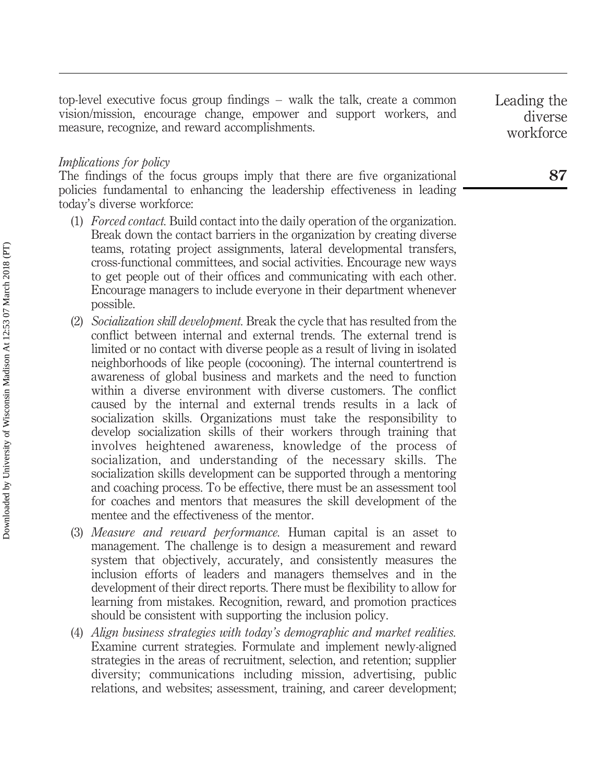top-level executive focus group findings – walk the talk, create a common vision/mission, encourage change, empower and support workers, and measure, recognize, and reward accomplishments.

#### Implications for policy

The findings of the focus groups imply that there are five organizational policies fundamental to enhancing the leadership effectiveness in leading today's diverse workforce:

- (1) Forced contact. Build contact into the daily operation of the organization. Break down the contact barriers in the organization by creating diverse teams, rotating project assignments, lateral developmental transfers, cross-functional committees, and social activities. Encourage new ways to get people out of their offices and communicating with each other. Encourage managers to include everyone in their department whenever possible.
- (2) Socialization skill development. Break the cycle that has resulted from the conflict between internal and external trends. The external trend is limited or no contact with diverse people as a result of living in isolated neighborhoods of like people (cocooning). The internal countertrend is awareness of global business and markets and the need to function within a diverse environment with diverse customers. The conflict caused by the internal and external trends results in a lack of socialization skills. Organizations must take the responsibility to develop socialization skills of their workers through training that involves heightened awareness, knowledge of the process of socialization, and understanding of the necessary skills. The socialization skills development can be supported through a mentoring and coaching process. To be effective, there must be an assessment tool for coaches and mentors that measures the skill development of the mentee and the effectiveness of the mentor.
- (3) Measure and reward performance. Human capital is an asset to management. The challenge is to design a measurement and reward system that objectively, accurately, and consistently measures the inclusion efforts of leaders and managers themselves and in the development of their direct reports. There must be flexibility to allow for learning from mistakes. Recognition, reward, and promotion practices should be consistent with supporting the inclusion policy.
- (4) Align business strategies with today's demographic and market realities. Examine current strategies. Formulate and implement newly-aligned strategies in the areas of recruitment, selection, and retention; supplier diversity; communications including mission, advertising, public relations, and websites; assessment, training, and career development;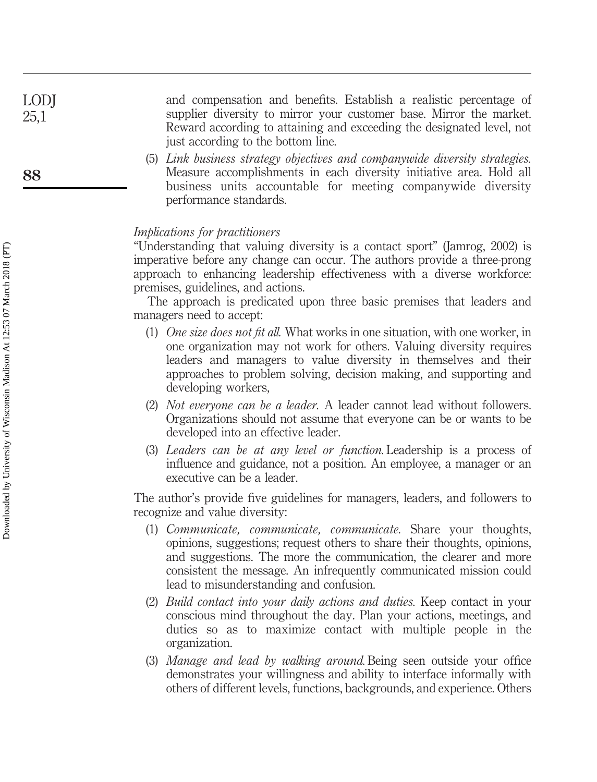and compensation and benefits. Establish a realistic percentage of supplier diversity to mirror your customer base. Mirror the market. Reward according to attaining and exceeding the designated level, not just according to the bottom line.

(5) Link business strategy objectives and companywide diversity strategies. Measure accomplishments in each diversity initiative area. Hold all business units accountable for meeting companywide diversity performance standards.

#### Implications for practitioners

"Understanding that valuing diversity is a contact sport" (Jamrog, 2002) is imperative before any change can occur. The authors provide a three-prong approach to enhancing leadership effectiveness with a diverse workforce: premises, guidelines, and actions.

The approach is predicated upon three basic premises that leaders and managers need to accept:

- (1) One size does not fit all. What works in one situation, with one worker, in one organization may not work for others. Valuing diversity requires leaders and managers to value diversity in themselves and their approaches to problem solving, decision making, and supporting and developing workers,
- (2) Not everyone can be a leader. A leader cannot lead without followers. Organizations should not assume that everyone can be or wants to be developed into an effective leader.
- (3) Leaders can be at any level or function. Leadership is a process of influence and guidance, not a position. An employee, a manager or an executive can be a leader.

The author's provide five guidelines for managers, leaders, and followers to recognize and value diversity:

- (1) Communicate, communicate, communicate. Share your thoughts, opinions, suggestions; request others to share their thoughts, opinions, and suggestions. The more the communication, the clearer and more consistent the message. An infrequently communicated mission could lead to misunderstanding and confusion.
- (2) Build contact into your daily actions and duties. Keep contact in your conscious mind throughout the day. Plan your actions, meetings, and duties so as to maximize contact with multiple people in the organization.
- (3) Manage and lead by walking around.Being seen outside your office demonstrates your willingness and ability to interface informally with others of different levels, functions, backgrounds, and experience. Others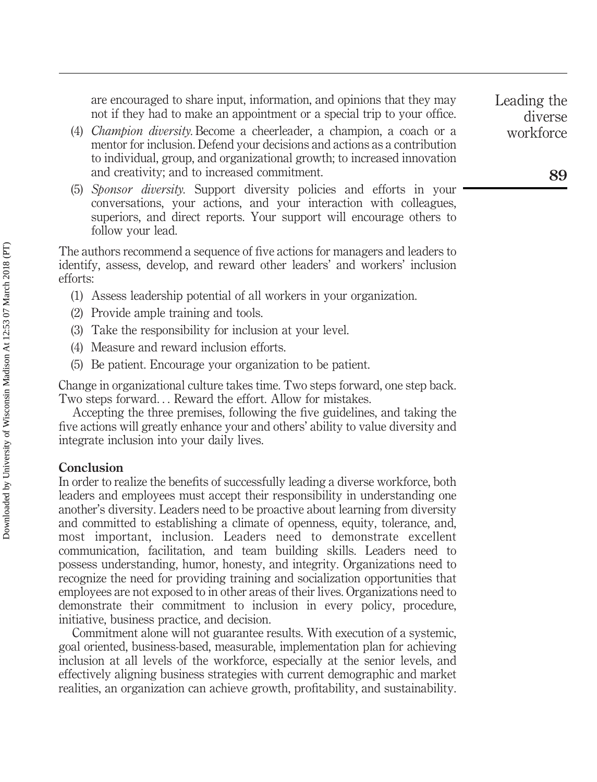are encouraged to share input, information, and opinions that they may not if they had to make an appointment or a special trip to your office.

- (4) Champion diversity.Become a cheerleader, a champion, a coach or a mentor for inclusion. Defend your decisions and actions as a contribution to individual, group, and organizational growth; to increased innovation and creativity; and to increased commitment.
- (5) Sponsor diversity. Support diversity policies and efforts in your conversations, your actions, and your interaction with colleagues, superiors, and direct reports. Your support will encourage others to follow your lead.

The authors recommend a sequence of five actions for managers and leaders to identify, assess, develop, and reward other leaders' and workers' inclusion efforts:

- (1) Assess leadership potential of all workers in your organization.
- (2) Provide ample training and tools.
- (3) Take the responsibility for inclusion at your level.
- (4) Measure and reward inclusion efforts.
- (5) Be patient. Encourage your organization to be patient.

Change in organizational culture takes time. Two steps forward, one step back. Two steps forward... Reward the effort. Allow for mistakes.

Accepting the three premises, following the five guidelines, and taking the five actions will greatly enhance your and others' ability to value diversity and integrate inclusion into your daily lives.

#### Conclusion

In order to realize the benefits of successfully leading a diverse workforce, both leaders and employees must accept their responsibility in understanding one another's diversity. Leaders need to be proactive about learning from diversity and committed to establishing a climate of openness, equity, tolerance, and, most important, inclusion. Leaders need to demonstrate excellent communication, facilitation, and team building skills. Leaders need to possess understanding, humor, honesty, and integrity. Organizations need to recognize the need for providing training and socialization opportunities that employees are not exposed to in other areas of their lives. Organizations need to demonstrate their commitment to inclusion in every policy, procedure, initiative, business practice, and decision.

Commitment alone will not guarantee results. With execution of a systemic, goal oriented, business-based, measurable, implementation plan for achieving inclusion at all levels of the workforce, especially at the senior levels, and effectively aligning business strategies with current demographic and market realities, an organization can achieve growth, profitability, and sustainability.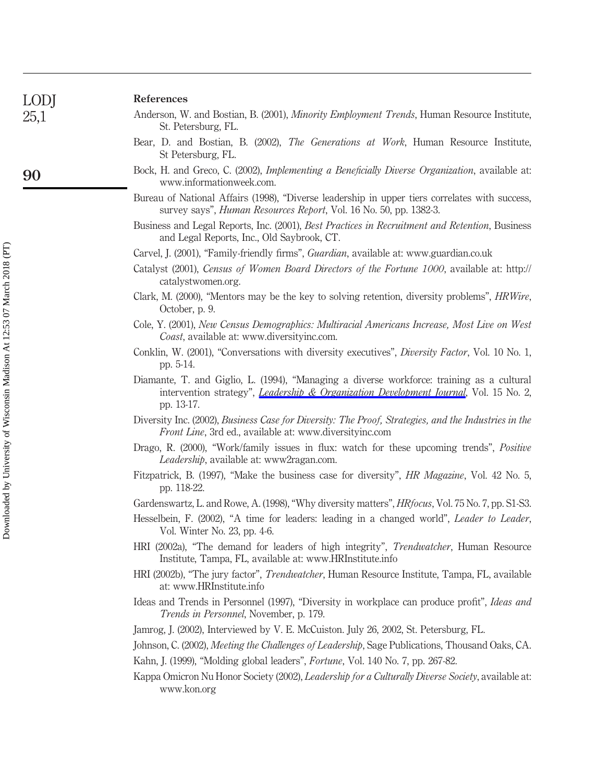| <b>LODJ</b> | References                                                                                                                                                                                                   |
|-------------|--------------------------------------------------------------------------------------------------------------------------------------------------------------------------------------------------------------|
| 25,1        | Anderson, W. and Bostian, B. (2001), Minority Employment Trends, Human Resource Institute,<br>St. Petersburg, FL.                                                                                            |
|             | Bear, D. and Bostian, B. (2002), The Generations at Work, Human Resource Institute,<br>St Petersburg, FL.                                                                                                    |
| 90          | Bock, H. and Greco, C. (2002), <i>Implementing a Beneficially Diverse Organization</i> , available at:<br>www.informationweek.com.                                                                           |
|             | Bureau of National Affairs (1998), "Diverse leadership in upper tiers correlates with success,<br>survey says", <i>Human Resources Report</i> , Vol. 16 No. 50, pp. 1382-3.                                  |
|             | Business and Legal Reports, Inc. (2001), Best Practices in Recruitment and Retention, Business<br>and Legal Reports, Inc., Old Saybrook, CT.                                                                 |
|             | Carvel, J. (2001), "Family-friendly firms", Guardian, available at: www.guardian.co.uk                                                                                                                       |
|             | Catalyst (2001), Census of Women Board Directors of the Fortune 1000, available at: http://<br>catalystwomen.org.                                                                                            |
|             | Clark, M. (2000), "Mentors may be the key to solving retention, diversity problems", HRWire,<br>October, p. 9.                                                                                               |
|             | Cole, Y. (2001), New Census Demographics: Multiracial Americans Increase, Most Live on West<br>Coast, available at: www.diversityinc.com.                                                                    |
|             | Conklin, W. (2001), "Conversations with diversity executives", <i>Diversity Factor</i> , Vol. 10 No. 1,<br>pp. 5-14.                                                                                         |
|             | Diamante, T. and Giglio, L. (1994), "Managing a diverse workforce: training as a cultural<br>intervention strategy", <i>Leadership &amp; Organization Development Journal</i> , Vol. 15 No. 2,<br>pp. 13-17. |
|             | Diversity Inc. (2002), Business Case for Diversity: The Proof, Strategies, and the Industries in the<br>Front Line, 3rd ed., available at: www.diversityinc.com                                              |
|             | Drago, R. (2000), "Work/family issues in flux: watch for these upcoming trends", <i>Positive</i><br><i>Leadership</i> , available at: www2ragan.com.                                                         |
|             | Fitzpatrick, B. (1997), "Make the business case for diversity", HR Magazine, Vol. 42 No. 5,<br>pp. 118-22.                                                                                                   |
|             | Gardenswartz, L. and Rowe, A. (1998), "Why diversity matters", <i>HRfocus</i> , Vol. 75 No. 7, pp. S1-S3.                                                                                                    |
|             | Hesselbein, F. (2002), "A time for leaders: leading in a changed world", <i>Leader to Leader</i> ,<br>Vol. Winter No. 23, pp. 4-6.                                                                           |
|             | HRI (2002a), "The demand for leaders of high integrity", Trendwatcher, Human Resource<br>Institute, Tampa, FL, available at: www.HRInstitute.info                                                            |
|             | HRI (2002b), "The jury factor", <i>Trendwatcher</i> , Human Resource Institute, Tampa, FL, available<br>at: www.HRInstitute.info                                                                             |
|             | Ideas and Trends in Personnel (1997), "Diversity in workplace can produce profit", Ideas and<br>Trends in Personnel, November, p. 179.                                                                       |
|             | Jamrog, J. (2002), Interviewed by V. E. McCuiston. July 26, 2002, St. Petersburg, FL.                                                                                                                        |
|             | Johnson, C. (2002), Meeting the Challenges of Leadership, Sage Publications, Thousand Oaks, CA.                                                                                                              |
|             | Kahn, J. (1999), "Molding global leaders", Fortune, Vol. 140 No. 7, pp. 267-82.                                                                                                                              |
|             | Kappa Omicron Nu Honor Society (2002), Leadership for a Culturally Diverse Society, available at:<br>www.kon.org                                                                                             |

Downloaded by University of Wisconsin Madison At 12:53 07 March 2018 (PT) Downloaded by University of Wisconsin Madison At 12:53 07 March 2018 (PT)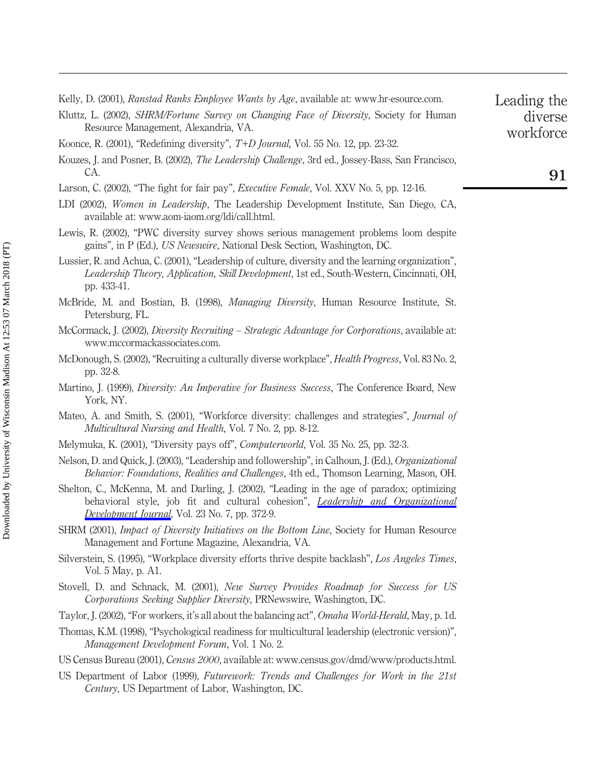pp. 433-41.

| Leading the<br>diverse<br>workforce | Kelly, D. (2001), Ranstad Ranks Employee Wants by Age, available at: www.hr-esource.com.<br>Kluttz, L. (2002), <i>SHRM/Fortune Survey on Changing Face of Diversity</i> , Society for Human<br>Resource Management, Alexandria, VA. |
|-------------------------------------|-------------------------------------------------------------------------------------------------------------------------------------------------------------------------------------------------------------------------------------|
|                                     | Koonce, R. (2001), "Redefining diversity", $T+D$ <i>Journal</i> , Vol. 55 No. 12, pp. 23-32.                                                                                                                                        |
| 91                                  | Kouzes, J. and Posner, B. (2002), The Leadership Challenge, 3rd ed., Jossey-Bass, San Francisco,<br>CA.                                                                                                                             |
|                                     | Larson, C. (2002), "The fight for fair pay", <i>Executive Female</i> , Vol. XXV No. 5, pp. 12-16.                                                                                                                                   |
|                                     | LDI (2002), <i>Women in Leadership</i> , The Leadership Development Institute, San Diego, CA,<br>available at: www.aom-iaom.org/ldi/call.html.                                                                                      |
|                                     | Lewis, R. (2002), "PWC diversity survey shows serious management problems loom despite<br>gains", in P (Ed.), US Newswire, National Desk Section, Washington, DC.                                                                   |
|                                     | Lussier, R. and Achua, C. (2001), "Leadership of culture, diversity and the learning organization",<br><i>Leadership Theory, Application, Skill Development, 1st ed., South-Western, Cincinnati, OH.</i>                            |

- McBride, M. and Bostian, B. (1998), Managing Diversity, Human Resource Institute, St. Petersburg, FL.
- McCormack, J. (2002), *Diversity Recruiting Strategic Advantage for Corporations*, available at: www.mccormackassociates.com.
- McDonough, S. (2002), "Recruiting a culturally diverse workplace", Health Progress, Vol. 83 No. 2, pp. 32-8.
- Martino, J. (1999), *Diversity: An Imperative for Business Success*, The Conference Board, New York, NY.
- Mateo, A. and Smith, S. (2001), "Workforce diversity: challenges and strategies", *Journal of* Multicultural Nursing and Health, Vol. 7 No. 2, pp. 8-12.
- Melymuka, K. (2001), "Diversity pays off", Computerworld, Vol. 35 No. 25, pp. 32-3.
- Nelson, D. and Quick, J. (2003), "Leadership and followership", in Calhoun, J. (Ed.), Organizational Behavior: Foundations, Realities and Challenges, 4th ed., Thomson Learning, Mason, OH.
- Shelton, C., McKenna, M. and Darling, J. (2002), "Leading in the age of paradox; optimizing behavioral style, job fit and cultural cohesion", *[Leadership and Organizational](http://www.emeraldinsight.com/action/showLinks?doi=10.1108%2F01437730410512787&system=10.1108%2F01437730210445801&citationId=p_39)* [Development Journal](http://www.emeraldinsight.com/action/showLinks?doi=10.1108%2F01437730410512787&system=10.1108%2F01437730210445801&citationId=p_39), Vol. 23 No. 7, pp. 372-9.
- SHRM (2001), *Impact of Diversity Initiatives on the Bottom Line*, Society for Human Resource Management and Fortune Magazine, Alexandria, VA.
- Silverstein, S. (1995), "Workplace diversity efforts thrive despite backlash", Los Angeles Times, Vol. 5 May, p. A1.
- Stovell, D. and Schnack, M. (2001), New Survey Provides Roadmap for Success for US Corporations Seeking Supplier Diversity, PRNewswire, Washington, DC.
- Taylor, J. (2002), "For workers, it's all about the balancing act", Omaha World-Herald, May, p. 1d.
- Thomas, K.M. (1998), "Psychological readiness for multicultural leadership (electronic version)", Management Development Forum, Vol. 1 No. 2.
- US Census Bureau (2001), Census 2000, available at: www.census.gov/dmd/www/products.html.
- US Department of Labor (1999), Futurework: Trends and Challenges for Work in the 21st Century, US Department of Labor, Washington, DC.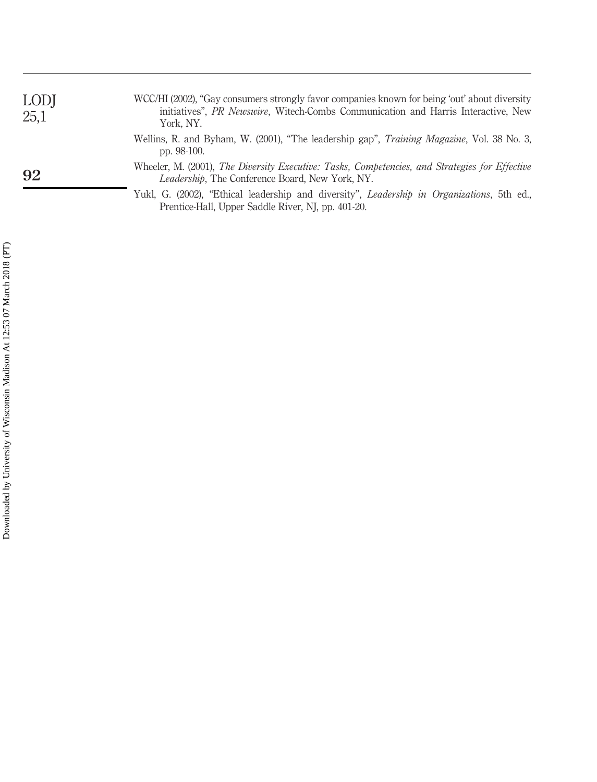| LODJ<br>25,1 | WCC/HI (2002), "Gay consumers strongly favor companies known for being 'out' about diversity<br>initiatives", PR Newswire, Witech-Combs Communication and Harris Interactive, New<br>York. NY. |
|--------------|------------------------------------------------------------------------------------------------------------------------------------------------------------------------------------------------|
|              | Wellins, R. and Byham, W. (2001), "The leadership gap", Training Magazine, Vol. 38 No. 3,<br>pp. 98-100.                                                                                       |
| 92           | Wheeler, M. (2001), The Diversity Executive: Tasks, Competencies, and Strategies for Effective<br><i>Leadership</i> , The Conference Board, New York, NY.                                      |
|              | Yukl, G. (2002), "Ethical leadership and diversity", <i>Leadership in Organizations</i> , 5th ed.,                                                                                             |

Prentice-Hall, Upper Saddle River, NJ, pp. 401-20.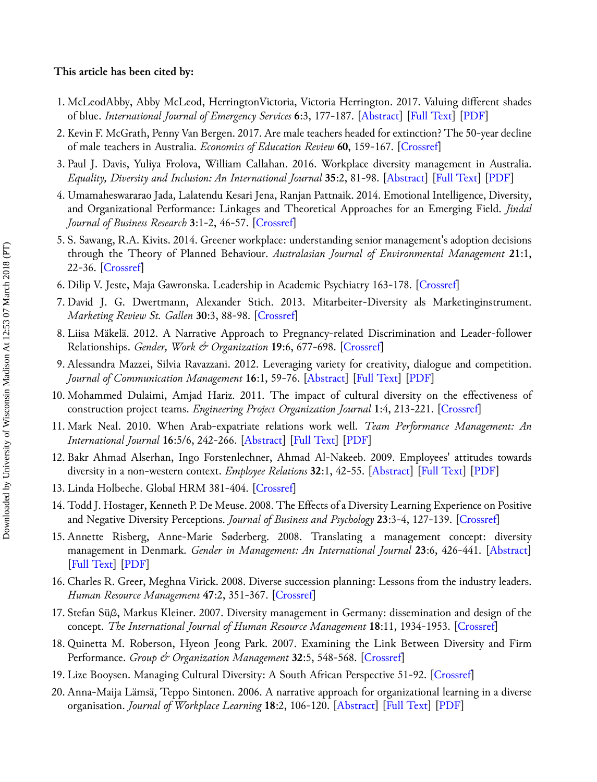#### **This article has been cited by:**

- 1. McLeodAbby, Abby McLeod, HerringtonVictoria, Victoria Herrington. 2017. Valuing different shades of blue. *International Journal of Emergency Services* **6**:3, 177-187. [\[Abstract](https://doi.org/10.1108/IJES-04-2017-0021)] [[Full Text\]](http://www.emeraldinsight.com/doi/full/10.1108/IJES-04-2017-0021) [[PDF\]](http://www.emeraldinsight.com/doi/pdfplus/10.1108/IJES-04-2017-0021)
- 2. Kevin F. McGrath, Penny Van Bergen. 2017. Are male teachers headed for extinction? The 50-year decline of male teachers in Australia. *Economics of Education Review* **60**, 159-167. [[Crossref\]](https://doi.org/10.1016/j.econedurev.2017.08.003)
- 3. Paul J. Davis, Yuliya Frolova, William Callahan. 2016. Workplace diversity management in Australia. *Equality, Diversity and Inclusion: An International Journal* **35**:2, 81-98. [\[Abstract](https://doi.org/10.1108/EDI-03-2015-0020)] [\[Full Text](http://www.emeraldinsight.com/doi/full/10.1108/EDI-03-2015-0020)] [[PDF\]](http://www.emeraldinsight.com/doi/pdfplus/10.1108/EDI-03-2015-0020)
- 4. Umamaheswararao Jada, Lalatendu Kesari Jena, Ranjan Pattnaik. 2014. Emotional Intelligence, Diversity, and Organizational Performance: Linkages and Theoretical Approaches for an Emerging Field. *Jindal Journal of Business Research* **3**:1-2, 46-57. [[Crossref\]](https://doi.org/10.1177/2278682115627240)
- 5. S. Sawang, R.A. Kivits. 2014. Greener workplace: understanding senior management's adoption decisions through the Theory of Planned Behaviour. *Australasian Journal of Environmental Management* **21**:1, 22-36. [\[Crossref](https://doi.org/10.1080/14486563.2013.848418)]
- 6.Dilip V. Jeste, Maja Gawronska. Leadership in Academic Psychiatry 163-178. [\[Crossref\]](https://doi.org/10.1002/9781118569948.ch13)
- 7.David J. G. Dwertmann, Alexander Stich. 2013. Mitarbeiter-Diversity als Marketinginstrument. *Marketing Review St. Gallen* **30**:3, 88-98. [\[Crossref](https://doi.org/10.1365/s11621-013-0238-6)]
- 8. Liisa Mäkelä. 2012. A Narrative Approach to Pregnancy-related Discrimination and Leader-follower Relationships. *Gender, Work & Organization* **19**:6, 677-698. [[Crossref\]](https://doi.org/10.1111/j.1468-0432.2010.00544.x)
- 9. Alessandra Mazzei, Silvia Ravazzani. 2012. Leveraging variety for creativity, dialogue and competition. *Journal of Communication Management* **16**:1, 59-76. [\[Abstract](https://doi.org/10.1108/13632541211197996)] [[Full Text\]](http://www.emeraldinsight.com/doi/full/10.1108/13632541211197996) [[PDF\]](http://www.emeraldinsight.com/doi/pdfplus/10.1108/13632541211197996)
- 10. Mohammed Dulaimi, Amjad Hariz. 2011. The impact of cultural diversity on the effectiveness of construction project teams. *Engineering Project Organization Journal* **1**:4, 213-221. [\[Crossref\]](https://doi.org/10.1080/21573727.2011.621419)
- 11. Mark Neal. 2010. When Arab‐expatriate relations work well. *Team Performance Management: An International Journal* **16**:5/6, 242-266. [\[Abstract](https://doi.org/10.1108/13527591011071331)] [\[Full Text](http://www.emeraldinsight.com/doi/full/10.1108/13527591011071331)] [\[PDF\]](http://www.emeraldinsight.com/doi/pdfplus/10.1108/13527591011071331)
- 12. Bakr Ahmad Alserhan, Ingo Forstenlechner, Ahmad Al‐Nakeeb. 2009. Employees' attitudes towards diversity in a non‐western context. *Employee Relations* **32**:1, 42-55. [\[Abstract](https://doi.org/10.1108/01425451011002752)] [\[Full Text](http://www.emeraldinsight.com/doi/full/10.1108/01425451011002752)] [\[PDF\]](http://www.emeraldinsight.com/doi/pdfplus/10.1108/01425451011002752)
- 13. Linda Holbeche. Global HRM 381-404. [[Crossref\]](https://doi.org/10.1016/B978-0-7506-8017-2.00014-0)
- 14. Todd J. Hostager, Kenneth P. De Meuse. 2008. The Effects of a Diversity Learning Experience on Positive and Negative Diversity Perceptions. *Journal of Business and Psychology* **23**:3-4, 127-139. [\[Crossref\]](https://doi.org/10.1007/s10869-008-9085-x)
- 15. Annette Risberg, Anne‐Marie Søderberg. 2008. Translating a management concept: diversity management in Denmark. *Gender in Management: An International Journal* **23**:6, 426-441. [[Abstract\]](https://doi.org/10.1108/17542410810897544) [\[Full Text](http://www.emeraldinsight.com/doi/full/10.1108/17542410810897544)] [\[PDF\]](http://www.emeraldinsight.com/doi/pdfplus/10.1108/17542410810897544)
- 16. Charles R. Greer, Meghna Virick. 2008. Diverse succession planning: Lessons from the industry leaders. *Human Resource Management* **47**:2, 351-367. [[Crossref\]](https://doi.org/10.1002/hrm.20216)
- 17. Stefan Süβ, Markus Kleiner. 2007. Diversity management in Germany: dissemination and design of the concept. *The International Journal of Human Resource Management* **18**:11, 1934-1953. [[Crossref\]](https://doi.org/10.1080/09585190701638150)
- 18. Quinetta M. Roberson, Hyeon Jeong Park. 2007. Examining the Link Between Diversity and Firm Performance. *Group & Organization Management* **32**:5, 548-568. [[Crossref\]](https://doi.org/10.1177/1059601106291124)
- 19. Lize Booysen. Managing Cultural Diversity: A South African Perspective 51-92. [\[Crossref](https://doi.org/10.1057/9780230627536_5)]
- 20. Anna‐Maija Lämsä, Teppo Sintonen. 2006. A narrative approach for organizational learning in a diverse organisation. *Journal of Workplace Learning* **18**:2, 106-120. [[Abstract\]](https://doi.org/10.1108/13665620610647818) [[Full Text\]](http://www.emeraldinsight.com/doi/full/10.1108/13665620610647818) [[PDF](http://www.emeraldinsight.com/doi/pdfplus/10.1108/13665620610647818)]